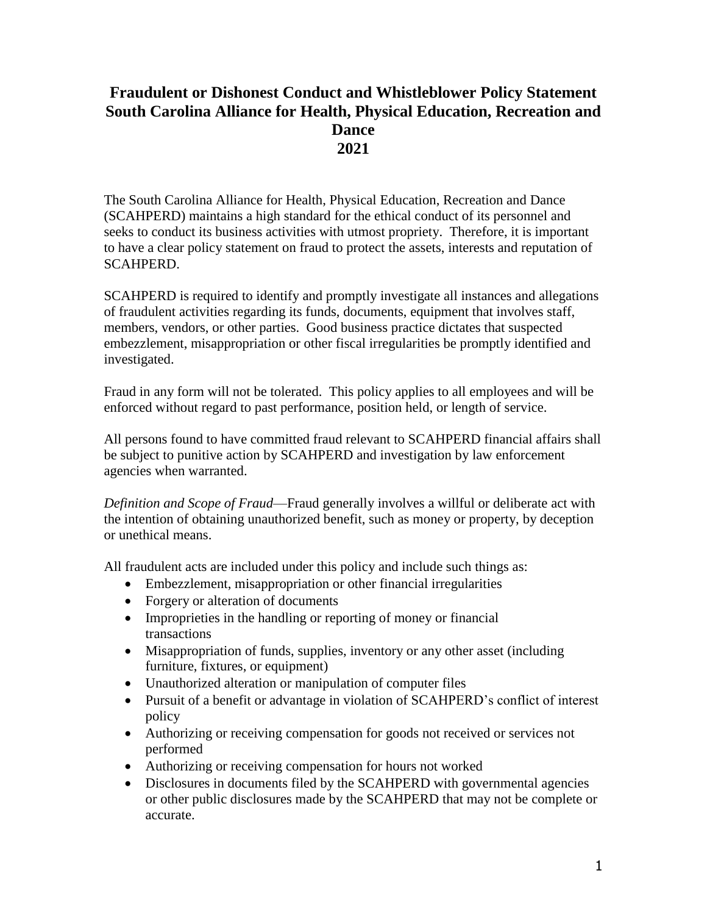# **Fraudulent or Dishonest Conduct and Whistleblower Policy Statement South Carolina Alliance for Health, Physical Education, Recreation and Dance 2021**

The South Carolina Alliance for Health, Physical Education, Recreation and Dance (SCAHPERD) maintains a high standard for the ethical conduct of its personnel and seeks to conduct its business activities with utmost propriety. Therefore, it is important to have a clear policy statement on fraud to protect the assets, interests and reputation of SCAHPERD.

SCAHPERD is required to identify and promptly investigate all instances and allegations of fraudulent activities regarding its funds, documents, equipment that involves staff, members, vendors, or other parties. Good business practice dictates that suspected embezzlement, misappropriation or other fiscal irregularities be promptly identified and investigated.

Fraud in any form will not be tolerated. This policy applies to all employees and will be enforced without regard to past performance, position held, or length of service.

All persons found to have committed fraud relevant to SCAHPERD financial affairs shall be subject to punitive action by SCAHPERD and investigation by law enforcement agencies when warranted.

*Definition and Scope of Fraud*—Fraud generally involves a willful or deliberate act with the intention of obtaining unauthorized benefit, such as money or property, by deception or unethical means.

All fraudulent acts are included under this policy and include such things as:

- Embezzlement, misappropriation or other financial irregularities
- Forgery or alteration of documents
- Improprieties in the handling or reporting of money or financial transactions
- Misappropriation of funds, supplies, inventory or any other asset (including furniture, fixtures, or equipment)
- Unauthorized alteration or manipulation of computer files
- Pursuit of a benefit or advantage in violation of SCAHPERD's conflict of interest policy
- Authorizing or receiving compensation for goods not received or services not performed
- Authorizing or receiving compensation for hours not worked
- Disclosures in documents filed by the SCAHPERD with governmental agencies or other public disclosures made by the SCAHPERD that may not be complete or accurate.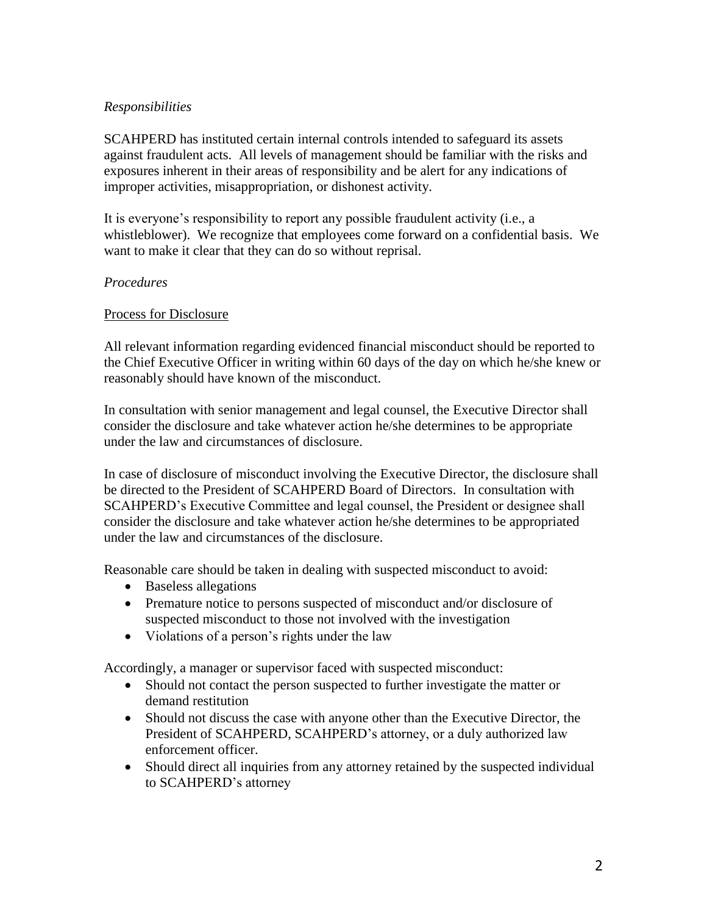## *Responsibilities*

SCAHPERD has instituted certain internal controls intended to safeguard its assets against fraudulent acts. All levels of management should be familiar with the risks and exposures inherent in their areas of responsibility and be alert for any indications of improper activities, misappropriation, or dishonest activity.

It is everyone's responsibility to report any possible fraudulent activity (i.e., a whistleblower). We recognize that employees come forward on a confidential basis. We want to make it clear that they can do so without reprisal.

### *Procedures*

### Process for Disclosure

All relevant information regarding evidenced financial misconduct should be reported to the Chief Executive Officer in writing within 60 days of the day on which he/she knew or reasonably should have known of the misconduct.

In consultation with senior management and legal counsel, the Executive Director shall consider the disclosure and take whatever action he/she determines to be appropriate under the law and circumstances of disclosure.

In case of disclosure of misconduct involving the Executive Director, the disclosure shall be directed to the President of SCAHPERD Board of Directors. In consultation with SCAHPERD's Executive Committee and legal counsel, the President or designee shall consider the disclosure and take whatever action he/she determines to be appropriated under the law and circumstances of the disclosure.

Reasonable care should be taken in dealing with suspected misconduct to avoid:

- Baseless allegations
- Premature notice to persons suspected of misconduct and/or disclosure of suspected misconduct to those not involved with the investigation
- Violations of a person's rights under the law

Accordingly, a manager or supervisor faced with suspected misconduct:

- Should not contact the person suspected to further investigate the matter or demand restitution
- Should not discuss the case with anyone other than the Executive Director, the President of SCAHPERD, SCAHPERD's attorney, or a duly authorized law enforcement officer.
- Should direct all inquiries from any attorney retained by the suspected individual to SCAHPERD's attorney